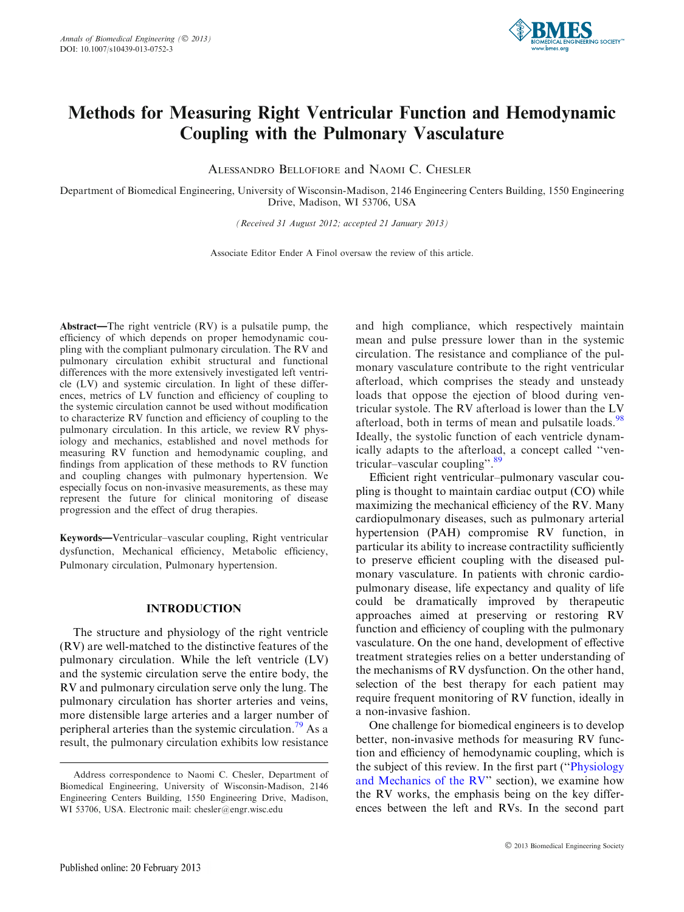

# Methods for Measuring Right Ventricular Function and Hemodynamic Coupling with the Pulmonary Vasculature

ALESSANDRO BELLOFIORE and NAOMI C. CHESLER

Department of Biomedical Engineering, University of Wisconsin-Madison, 2146 Engineering Centers Building, 1550 Engineering Drive, Madison, WI 53706, USA

(Received 31 August 2012; accepted 21 January 2013)

Associate Editor Ender A Finol oversaw the review of this article.

Abstract—The right ventricle (RV) is a pulsatile pump, the efficiency of which depends on proper hemodynamic coupling with the compliant pulmonary circulation. The RV and pulmonary circulation exhibit structural and functional differences with the more extensively investigated left ventricle (LV) and systemic circulation. In light of these differences, metrics of LV function and efficiency of coupling to the systemic circulation cannot be used without modification to characterize RV function and efficiency of coupling to the pulmonary circulation. In this article, we review RV physiology and mechanics, established and novel methods for measuring RV function and hemodynamic coupling, and findings from application of these methods to RV function and coupling changes with pulmonary hypertension. We especially focus on non-invasive measurements, as these may represent the future for clinical monitoring of disease progression and the effect of drug therapies.

Keywords—Ventricular–vascular coupling, Right ventricular dysfunction, Mechanical efficiency, Metabolic efficiency, Pulmonary circulation, Pulmonary hypertension.

# INTRODUCTION

The structure and physiology of the right ventricle (RV) are well-matched to the distinctive features of the pulmonary circulation. While the left ventricle (LV) and the systemic circulation serve the entire body, the RV and pulmonary circulation serve only the lung. The pulmonary circulation has shorter arteries and veins, more distensible large arteries and a larger number of peripheral arteries than the systemic circulation.<sup>[79](#page-13-0)</sup> As a result, the pulmonary circulation exhibits low resistance and high compliance, which respectively maintain mean and pulse pressure lower than in the systemic circulation. The resistance and compliance of the pulmonary vasculature contribute to the right ventricular afterload, which comprises the steady and unsteady loads that oppose the ejection of blood during ventricular systole. The RV afterload is lower than the LV afterload, both in terms of mean and pulsatile loads.<sup>[98](#page-14-0)</sup> Ideally, the systolic function of each ventricle dynamically adapts to the afterload, a concept called ''ventricular–vascular coupling''.[89](#page-14-0)

Efficient right ventricular–pulmonary vascular coupling is thought to maintain cardiac output (CO) while maximizing the mechanical efficiency of the RV. Many cardiopulmonary diseases, such as pulmonary arterial hypertension (PAH) compromise RV function, in particular its ability to increase contractility sufficiently to preserve efficient coupling with the diseased pulmonary vasculature. In patients with chronic cardiopulmonary disease, life expectancy and quality of life could be dramatically improved by therapeutic approaches aimed at preserving or restoring RV function and efficiency of coupling with the pulmonary vasculature. On the one hand, development of effective treatment strategies relies on a better understanding of the mechanisms of RV dysfunction. On the other hand, selection of the best therapy for each patient may require frequent monitoring of RV function, ideally in a non-invasive fashion.

One challenge for biomedical engineers is to develop better, non-invasive methods for measuring RV function and efficiency of hemodynamic coupling, which is the subject of this review. In the first part ('['Physiology](#page-1-0) [and Mechanics of the RV'](#page-1-0)' section), we examine how the RV works, the emphasis being on the key differences between the left and RVs. In the second part

Address correspondence to Naomi C. Chesler, Department of Biomedical Engineering, University of Wisconsin-Madison, 2146 Engineering Centers Building, 1550 Engineering Drive, Madison, WI 53706, USA. Electronic mail: chesler@engr.wisc.edu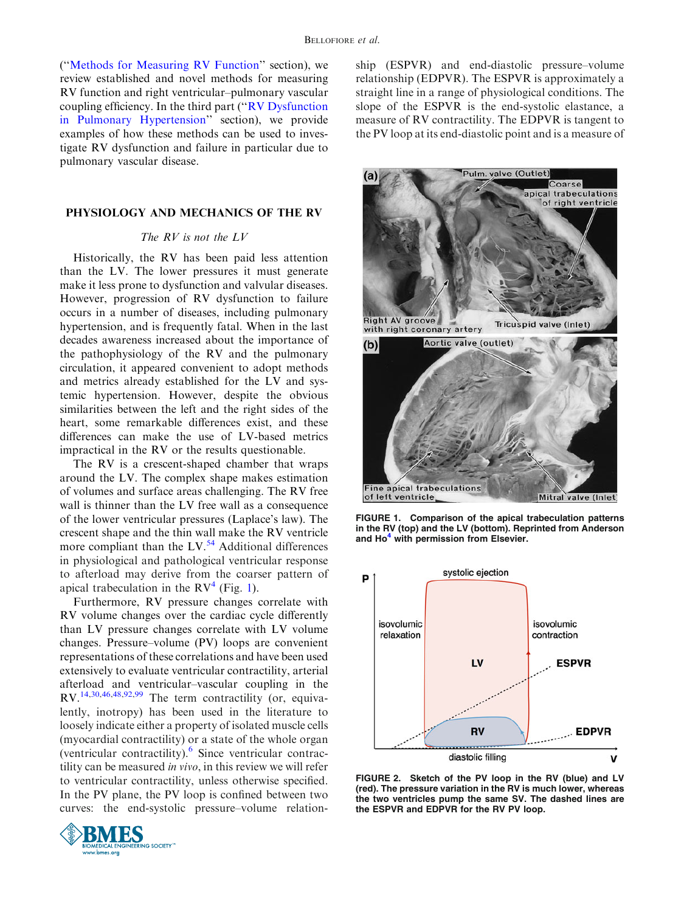<span id="page-1-0"></span>(''[Methods for Measuring RV Function](#page-5-0)'' section), we review established and novel methods for measuring RV function and right ventricular–pulmonary vascular coupling efficiency. In the third part (''[RV Dysfunction](#page-9-0) [in Pulmonary Hypertension](#page-9-0)'' section), we provide examples of how these methods can be used to investigate RV dysfunction and failure in particular due to pulmonary vascular disease.

#### PHYSIOLOGY AND MECHANICS OF THE RV

## The RV is not the LV

Historically, the RV has been paid less attention than the LV. The lower pressures it must generate make it less prone to dysfunction and valvular diseases. However, progression of RV dysfunction to failure occurs in a number of diseases, including pulmonary hypertension, and is frequently fatal. When in the last decades awareness increased about the importance of the pathophysiology of the RV and the pulmonary circulation, it appeared convenient to adopt methods and metrics already established for the LV and systemic hypertension. However, despite the obvious similarities between the left and the right sides of the heart, some remarkable differences exist, and these differences can make the use of LV-based metrics impractical in the RV or the results questionable.

The RV is a crescent-shaped chamber that wraps around the LV. The complex shape makes estimation of volumes and surface areas challenging. The RV free wall is thinner than the LV free wall as a consequence of the lower ventricular pressures (Laplace's law). The crescent shape and the thin wall make the RV ventricle more compliant than the LV. $<sup>54</sup>$  $<sup>54</sup>$  $<sup>54</sup>$  Additional differences</sup> in physiological and pathological ventricular response to afterload may derive from the coarser pattern of apical trabeculation in the  $RV^4$  $RV^4$  (Fig. 1).

Furthermore, RV pressure changes correlate with RV volume changes over the cardiac cycle differently than LV pressure changes correlate with LV volume changes. Pressure–volume (PV) loops are convenient representations of these correlations and have been used extensively to evaluate ventricular contractility, arterial afterload and ventricular–vascular coupling in the  $RV.$ <sup>[14,30](#page-12-0)[,46,48](#page-13-0)[,92,99](#page-14-0)</sup> The term contractility (or, equivalently, inotropy) has been used in the literature to loosely indicate either a property of isolated muscle cells (myocardial contractility) or a state of the whole organ (ventricular contractility). $6$  Since ventricular contractility can be measured in vivo, in this review we will refer to ventricular contractility, unless otherwise specified. In the PV plane, the PV loop is confined between two curves: the end-systolic pressure–volume relationship (ESPVR) and end-diastolic pressure–volume relationship (EDPVR). The ESPVR is approximately a straight line in a range of physiological conditions. The slope of the ESPVR is the end-systolic elastance, a measure of RV contractility. The EDPVR is tangent to the PV loop at its end-diastolic point and is a measure of



FIGURE 1. Comparison of the apical trabeculation patterns in the RV (top) and the LV (bottom). Reprinted from Anderson and Ho<sup>4</sup> with permission from Elsevier.



FIGURE 2. Sketch of the PV loop in the RV (blue) and LV (red). The pressure variation in the RV is much lower, whereas the two ventricles pump the same SV. The dashed lines are the ESPVR and EDPVR for the RV PV loop.

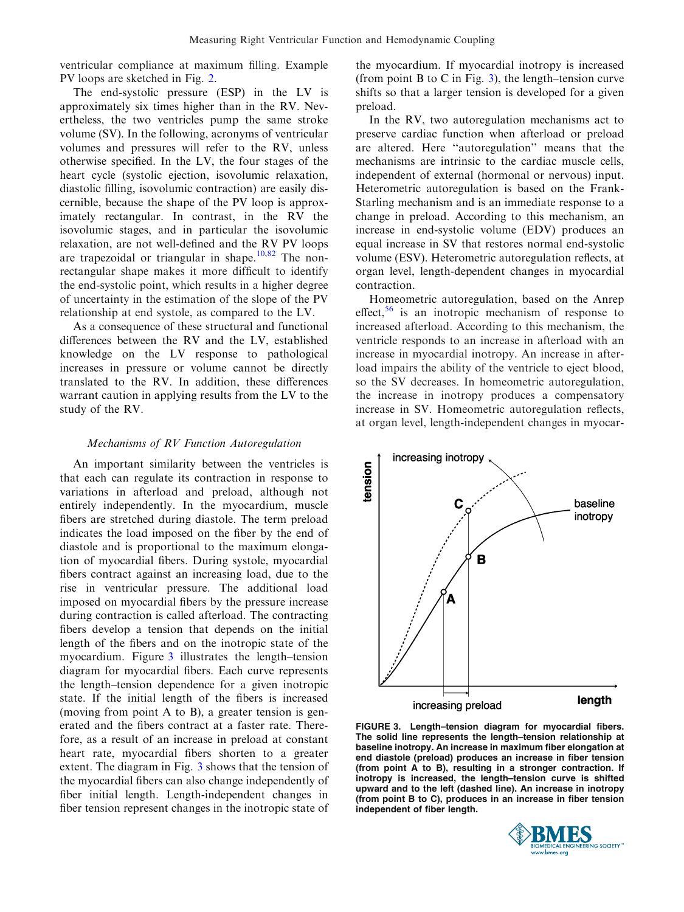ventricular compliance at maximum filling. Example PV loops are sketched in Fig. [2.](#page-1-0)

The end-systolic pressure (ESP) in the LV is approximately six times higher than in the RV. Nevertheless, the two ventricles pump the same stroke volume (SV). In the following, acronyms of ventricular volumes and pressures will refer to the RV, unless otherwise specified. In the LV, the four stages of the heart cycle (systolic ejection, isovolumic relaxation, diastolic filling, isovolumic contraction) are easily discernible, because the shape of the PV loop is approximately rectangular. In contrast, in the RV the isovolumic stages, and in particular the isovolumic relaxation, are not well-defined and the RV PV loops are trapezoidal or triangular in shape.<sup>[10](#page-12-0)[,82](#page-13-0)</sup> The nonrectangular shape makes it more difficult to identify the end-systolic point, which results in a higher degree of uncertainty in the estimation of the slope of the PV relationship at end systole, as compared to the LV.

As a consequence of these structural and functional differences between the RV and the LV, established knowledge on the LV response to pathological increases in pressure or volume cannot be directly translated to the RV. In addition, these differences warrant caution in applying results from the LV to the study of the RV.

## Mechanisms of RV Function Autoregulation

An important similarity between the ventricles is that each can regulate its contraction in response to variations in afterload and preload, although not entirely independently. In the myocardium, muscle fibers are stretched during diastole. The term preload indicates the load imposed on the fiber by the end of diastole and is proportional to the maximum elongation of myocardial fibers. During systole, myocardial fibers contract against an increasing load, due to the rise in ventricular pressure. The additional load imposed on myocardial fibers by the pressure increase during contraction is called afterload. The contracting fibers develop a tension that depends on the initial length of the fibers and on the inotropic state of the myocardium. Figure 3 illustrates the length–tension diagram for myocardial fibers. Each curve represents the length–tension dependence for a given inotropic state. If the initial length of the fibers is increased (moving from point A to B), a greater tension is generated and the fibers contract at a faster rate. Therefore, as a result of an increase in preload at constant heart rate, myocardial fibers shorten to a greater extent. The diagram in Fig. 3 shows that the tension of the myocardial fibers can also change independently of fiber initial length. Length-independent changes in fiber tension represent changes in the inotropic state of the myocardium. If myocardial inotropy is increased (from point B to C in Fig. 3), the length–tension curve shifts so that a larger tension is developed for a given preload.

In the RV, two autoregulation mechanisms act to preserve cardiac function when afterload or preload are altered. Here ''autoregulation'' means that the mechanisms are intrinsic to the cardiac muscle cells, independent of external (hormonal or nervous) input. Heterometric autoregulation is based on the Frank-Starling mechanism and is an immediate response to a change in preload. According to this mechanism, an increase in end-systolic volume (EDV) produces an equal increase in SV that restores normal end-systolic volume (ESV). Heterometric autoregulation reflects, at organ level, length-dependent changes in myocardial contraction.

Homeometric autoregulation, based on the Anrep effect,  $56$  is an inotropic mechanism of response to increased afterload. According to this mechanism, the ventricle responds to an increase in afterload with an increase in myocardial inotropy. An increase in afterload impairs the ability of the ventricle to eject blood, so the SV decreases. In homeometric autoregulation, the increase in inotropy produces a compensatory increase in SV. Homeometric autoregulation reflects, at organ level, length-independent changes in myocar-



FIGURE 3. Length–tension diagram for myocardial fibers. The solid line represents the length–tension relationship at baseline inotropy. An increase in maximum fiber elongation at end diastole (preload) produces an increase in fiber tension (from point A to B), resulting in a stronger contraction. If inotropy is increased, the length–tension curve is shifted upward and to the left (dashed line). An increase in inotropy (from point B to C), produces in an increase in fiber tension independent of fiber length.

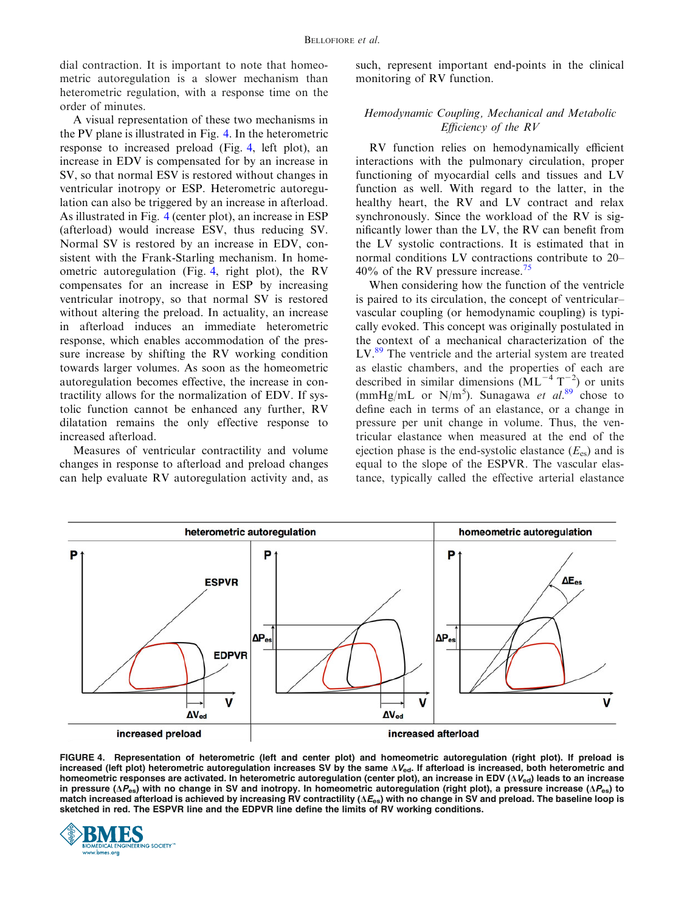dial contraction. It is important to note that homeometric autoregulation is a slower mechanism than heterometric regulation, with a response time on the order of minutes.

A visual representation of these two mechanisms in the PV plane is illustrated in Fig. 4. In the heterometric response to increased preload (Fig. 4, left plot), an increase in EDV is compensated for by an increase in SV, so that normal ESV is restored without changes in ventricular inotropy or ESP. Heterometric autoregulation can also be triggered by an increase in afterload. As illustrated in Fig. 4 (center plot), an increase in ESP (afterload) would increase ESV, thus reducing SV. Normal SV is restored by an increase in EDV, consistent with the Frank-Starling mechanism. In homeometric autoregulation (Fig. 4, right plot), the RV compensates for an increase in ESP by increasing ventricular inotropy, so that normal SV is restored without altering the preload. In actuality, an increase in afterload induces an immediate heterometric response, which enables accommodation of the pressure increase by shifting the RV working condition towards larger volumes. As soon as the homeometric autoregulation becomes effective, the increase in contractility allows for the normalization of EDV. If systolic function cannot be enhanced any further, RV dilatation remains the only effective response to increased afterload.

Measures of ventricular contractility and volume changes in response to afterload and preload changes can help evaluate RV autoregulation activity and, as such, represent important end-points in the clinical monitoring of RV function.

# Hemodynamic Coupling, Mechanical and Metabolic Efficiency of the RV

RV function relies on hemodynamically efficient interactions with the pulmonary circulation, proper functioning of myocardial cells and tissues and LV function as well. With regard to the latter, in the healthy heart, the RV and LV contract and relax synchronously. Since the workload of the RV is significantly lower than the LV, the RV can benefit from the LV systolic contractions. It is estimated that in normal conditions LV contractions contribute to 20–  $40\%$  of the RV pressure increase.<sup>[75](#page-13-0)</sup>

When considering how the function of the ventricle is paired to its circulation, the concept of ventricular– vascular coupling (or hemodynamic coupling) is typically evoked. This concept was originally postulated in the context of a mechanical characterization of the LV.<sup>[89](#page-14-0)</sup> The ventricle and the arterial system are treated as elastic chambers, and the properties of each are described in similar dimensions  $(ML^{-4}T^{-2})$  or units (mmHg/mL or N/m<sup>5</sup>). Sunagawa et al.<sup>[89](#page-14-0)</sup> chose to define each in terms of an elastance, or a change in pressure per unit change in volume. Thus, the ventricular elastance when measured at the end of the ejection phase is the end-systolic elastance  $(E_{es})$  and is equal to the slope of the ESPVR. The vascular elastance, typically called the effective arterial elastance



FIGURE 4. Representation of heterometric (left and center plot) and homeometric autoregulation (right plot). If preload is increased (left plot) heterometric autoregulation increases SV by the same  $\Delta V_{\text{ed}}$ . If afterload is increased, both heterometric and homeometric responses are activated. In heterometric autoregulation (center plot), an increase in EDV  $(\Delta V_{\text{ed}})$  leads to an increase in pressure ( $\Delta P_{\rm es}$ ) with no change in SV and inotropy. In homeometric autoregulation (right plot), a pressure increase ( $\Delta P_{\rm es}$ ) to match increased afterload is achieved by increasing RV contractility ( $\Delta E_{es}$ ) with no change in SV and preload. The baseline loop is sketched in red. The ESPVR line and the EDPVR line define the limits of RV working conditions.

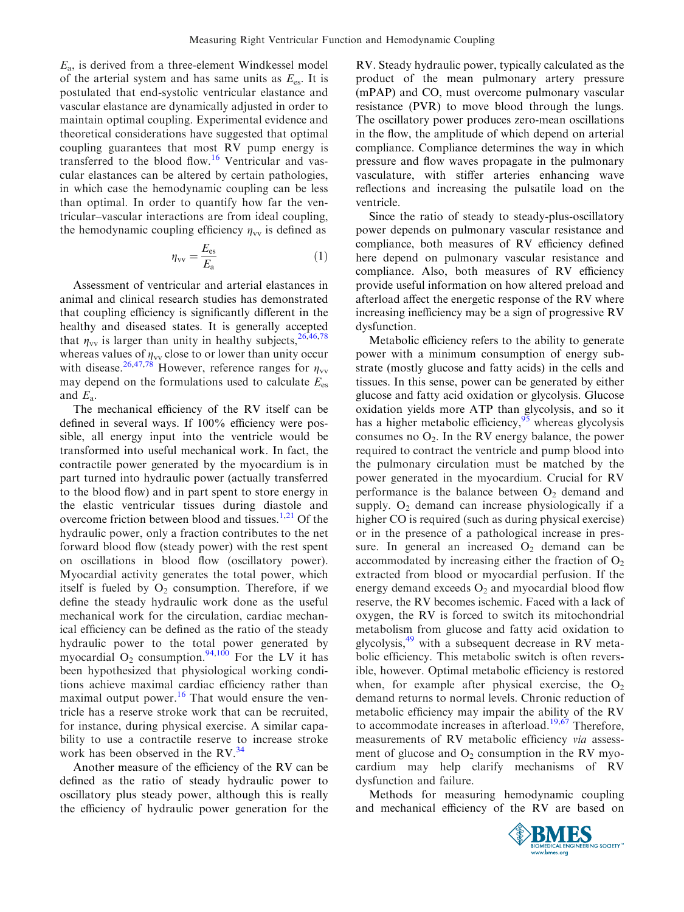$E_a$ , is derived from a three-element Windkessel model of the arterial system and has same units as  $E_{\text{es}}$ . It is postulated that end-systolic ventricular elastance and vascular elastance are dynamically adjusted in order to maintain optimal coupling. Experimental evidence and theoretical considerations have suggested that optimal coupling guarantees that most RV pump energy is transferred to the blood flow.[16](#page-12-0) Ventricular and vascular elastances can be altered by certain pathologies, in which case the hemodynamic coupling can be less than optimal. In order to quantify how far the ventricular–vascular interactions are from ideal coupling, the hemodynamic coupling efficiency  $\eta_{vv}$  is defined as

$$
\eta_{\rm vv} = \frac{E_{\rm es}}{E_{\rm a}}\tag{1}
$$

Assessment of ventricular and arterial elastances in animal and clinical research studies has demonstrated that coupling efficiency is significantly different in the healthy and diseased states. It is generally accepted that  $\eta_{vv}$  is larger than unity in healthy subjects, <sup>[26](#page-12-0)[,46,78](#page-13-0)</sup> whereas values of  $\eta_{\text{vv}}$  close to or lower than unity occur with disease.<sup>[26](#page-12-0)[,47,78](#page-13-0)</sup> However, reference ranges for  $\eta_{vv}$ may depend on the formulations used to calculate  $E_{es}$ and  $E_a$ .

The mechanical efficiency of the RV itself can be defined in several ways. If 100% efficiency were possible, all energy input into the ventricle would be transformed into useful mechanical work. In fact, the contractile power generated by the myocardium is in part turned into hydraulic power (actually transferred to the blood flow) and in part spent to store energy in the elastic ventricular tissues during diastole and overcome friction between blood and tissues. $1,21$  $1,21$  Of the hydraulic power, only a fraction contributes to the net forward blood flow (steady power) with the rest spent on oscillations in blood flow (oscillatory power). Myocardial activity generates the total power, which itself is fueled by  $O<sub>2</sub>$  consumption. Therefore, if we define the steady hydraulic work done as the useful mechanical work for the circulation, cardiac mechanical efficiency can be defined as the ratio of the steady hydraulic power to the total power generated by myocardial  $O_2$  consumption.<sup>[94,100](#page-14-0)</sup> For the LV it has been hypothesized that physiological working conditions achieve maximal cardiac efficiency rather than maximal output power.<sup>[16](#page-12-0)</sup> That would ensure the ventricle has a reserve stroke work that can be recruited, for instance, during physical exercise. A similar capability to use a contractile reserve to increase stroke work has been observed in the RV.<sup>[34](#page-12-0)</sup>

Another measure of the efficiency of the RV can be defined as the ratio of steady hydraulic power to oscillatory plus steady power, although this is really the efficiency of hydraulic power generation for the RV. Steady hydraulic power, typically calculated as the product of the mean pulmonary artery pressure (mPAP) and CO, must overcome pulmonary vascular resistance (PVR) to move blood through the lungs. The oscillatory power produces zero-mean oscillations in the flow, the amplitude of which depend on arterial compliance. Compliance determines the way in which pressure and flow waves propagate in the pulmonary vasculature, with stiffer arteries enhancing wave reflections and increasing the pulsatile load on the ventricle.

Since the ratio of steady to steady-plus-oscillatory power depends on pulmonary vascular resistance and compliance, both measures of RV efficiency defined here depend on pulmonary vascular resistance and compliance. Also, both measures of RV efficiency provide useful information on how altered preload and afterload affect the energetic response of the RV where increasing inefficiency may be a sign of progressive RV dysfunction.

Metabolic efficiency refers to the ability to generate power with a minimum consumption of energy substrate (mostly glucose and fatty acids) in the cells and tissues. In this sense, power can be generated by either glucose and fatty acid oxidation or glycolysis. Glucose oxidation yields more ATP than glycolysis, and so it has a higher metabolic efficiency,<sup>[95](#page-14-0)</sup> whereas glycolysis consumes no  $O_2$ . In the RV energy balance, the power required to contract the ventricle and pump blood into the pulmonary circulation must be matched by the power generated in the myocardium. Crucial for RV performance is the balance between  $O<sub>2</sub>$  demand and supply.  $O_2$  demand can increase physiologically if a higher CO is required (such as during physical exercise) or in the presence of a pathological increase in pressure. In general an increased  $O<sub>2</sub>$  demand can be accommodated by increasing either the fraction of  $O<sub>2</sub>$ extracted from blood or myocardial perfusion. If the energy demand exceeds  $O_2$  and myocardial blood flow reserve, the RV becomes ischemic. Faced with a lack of oxygen, the RV is forced to switch its mitochondrial metabolism from glucose and fatty acid oxidation to glycolysis, $49$  with a subsequent decrease in RV metabolic efficiency. This metabolic switch is often reversible, however. Optimal metabolic efficiency is restored when, for example after physical exercise, the  $O_2$ demand returns to normal levels. Chronic reduction of metabolic efficiency may impair the ability of the RV to accommodate increases in afterload.<sup>[19,](#page-12-0)[67](#page-13-0)</sup> Therefore, measurements of RV metabolic efficiency via assessment of glucose and  $O_2$  consumption in the RV myocardium may help clarify mechanisms of RV dysfunction and failure.

Methods for measuring hemodynamic coupling and mechanical efficiency of the RV are based on

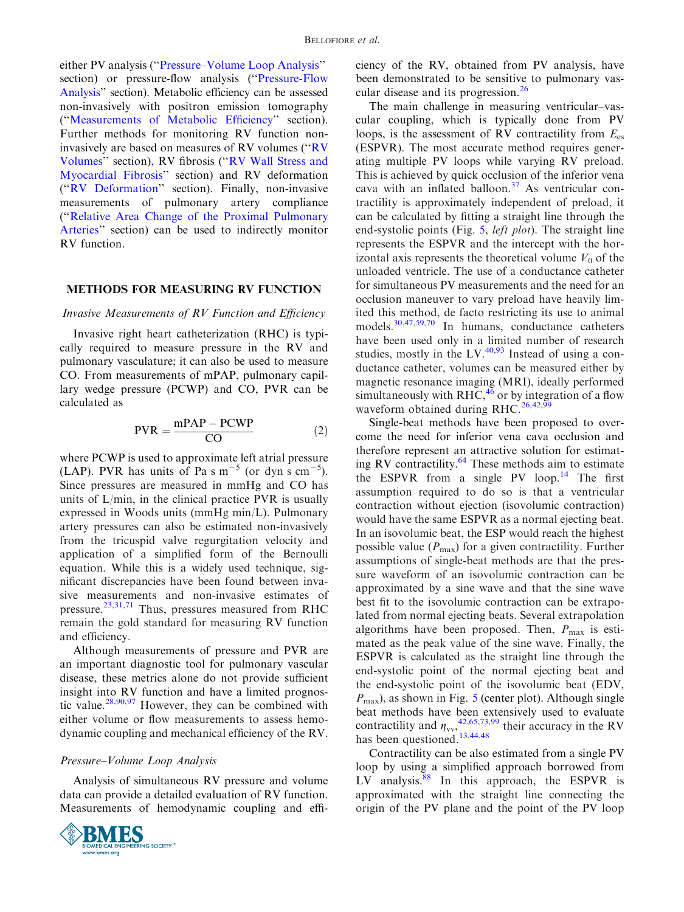<span id="page-5-0"></span>either PV analysis (''Pressure–Volume Loop Analysis'' section) or pressure-flow analysis ("[Pressure-Flow](#page-6-0) [Analysis](#page-6-0)'' section). Metabolic efficiency can be assessed non-invasively with positron emission tomography (''[Measurements of Metabolic Efficiency](#page-7-0)'' section). Further methods for monitoring RV function noninvasively are based on measures of RV volumes ('['RV](#page-8-0) [Volumes](#page-8-0)'' section), RV fibrosis (''[RV Wall Stress and](#page-8-0) [Myocardial Fibrosis](#page-8-0)'' section) and RV deformation (''[RV Deformation'](#page-8-0)' section). Finally, non-invasive measurements of pulmonary artery compliance (''[Relative Area Change of the Proximal Pulmonary](#page-9-0) [Arteries'](#page-9-0)' section) can be used to indirectly monitor RV function.

# METHODS FOR MEASURING RV FUNCTION

## Invasive Measurements of RV Function and Efficiency

Invasive right heart catheterization (RHC) is typically required to measure pressure in the RV and pulmonary vasculature; it can also be used to measure CO. From measurements of mPAP, pulmonary capillary wedge pressure (PCWP) and CO, PVR can be calculated as

$$
PVR = \frac{mPAP - PCWP}{CO}
$$
 (2)

where PCWP is used to approximate left atrial pressure (LAP). PVR has units of Pa s m<sup>-5</sup> (or dyn s cm<sup>-5</sup>). Since pressures are measured in mmHg and CO has units of L/min, in the clinical practice PVR is usually expressed in Woods units (mmHg min/L). Pulmonary artery pressures can also be estimated non-invasively from the tricuspid valve regurgitation velocity and application of a simplified form of the Bernoulli equation. While this is a widely used technique, significant discrepancies have been found between invasive measurements and non-invasive estimates of pressure.<sup>[23,31,](#page-12-0)[71](#page-13-0)</sup> Thus, pressures measured from RHC remain the gold standard for measuring RV function and efficiency.

Although measurements of pressure and PVR are an important diagnostic tool for pulmonary vascular disease, these metrics alone do not provide sufficient insight into RV function and have a limited prognos-tic value.<sup>[28,](#page-12-0)[90,97](#page-14-0)</sup> However, they can be combined with either volume or flow measurements to assess hemodynamic coupling and mechanical efficiency of the RV.

## Pressure–Volume Loop Analysis

Analysis of simultaneous RV pressure and volume data can provide a detailed evaluation of RV function. Measurements of hemodynamic coupling and effi-



ciency of the RV, obtained from PV analysis, have been demonstrated to be sensitive to pulmonary vascular disease and its progression. $^{26}$  $^{26}$  $^{26}$ 

The main challenge in measuring ventricular–vascular coupling, which is typically done from PV loops, is the assessment of RV contractility from  $E_{\text{es}}$ (ESPVR). The most accurate method requires generating multiple PV loops while varying RV preload. This is achieved by quick occlusion of the inferior vena cava with an inflated balloon.<sup>[37](#page-12-0)</sup> As ventricular contractility is approximately independent of preload, it can be calculated by fitting a straight line through the end-systolic points (Fig. [5](#page-6-0), *left plot*). The straight line represents the ESPVR and the intercept with the horizontal axis represents the theoretical volume  $V_0$  of the unloaded ventricle. The use of a conductance catheter for simultaneous PV measurements and the need for an occlusion maneuver to vary preload have heavily limited this method, de facto restricting its use to animal models.<sup>[30](#page-12-0)[,47,59,70](#page-13-0)</sup> In humans, conductance catheters have been used only in a limited number of research studies, mostly in the LV. $40,93$  $40,93$  Instead of using a conductance catheter, volumes can be measured either by magnetic resonance imaging (MRI), ideally performed simultaneously with  $RHC<sub>46</sub>$  $RHC<sub>46</sub>$  $RHC<sub>46</sub>$  or by integration of a flow waveform obtained during RHC.<sup>[26,42,](#page-12-0)[99](#page-14-0)</sup>

Single-beat methods have been proposed to overcome the need for inferior vena cava occlusion and therefore represent an attractive solution for estimating RV contractility. $^{64}$  $^{64}$  $^{64}$  These methods aim to estimate the ESPVR from a single PV loop.<sup>[14](#page-12-0)</sup> The first assumption required to do so is that a ventricular contraction without ejection (isovolumic contraction) would have the same ESPVR as a normal ejecting beat. In an isovolumic beat, the ESP would reach the highest possible value  $(P_{\text{max}})$  for a given contractility. Further assumptions of single-beat methods are that the pressure waveform of an isovolumic contraction can be approximated by a sine wave and that the sine wave best fit to the isovolumic contraction can be extrapolated from normal ejecting beats. Several extrapolation algorithms have been proposed. Then,  $P_{\text{max}}$  is estimated as the peak value of the sine wave. Finally, the ESPVR is calculated as the straight line through the end-systolic point of the normal ejecting beat and the end-systolic point of the isovolumic beat (EDV,  $P<sub>max</sub>$ ), as shown in Fig. [5](#page-6-0) (center plot). Although single beat methods have been extensively used to evaluate contractility and  $\eta_{vv}$ , <sup>[42](#page-12-0)[,65,73](#page-13-0)[,99](#page-14-0)</sup> their accuracy in the RV has been questioned.<sup>[13,44,](#page-12-0)[48](#page-13-0)</sup>

Contractility can be also estimated from a single PV loop by using a simplified approach borrowed from LV analysis. $88\text{ In this approach, the ESPVR is}$  $88\text{ In this approach, the ESPVR is}$ approximated with the straight line connecting the origin of the PV plane and the point of the PV loop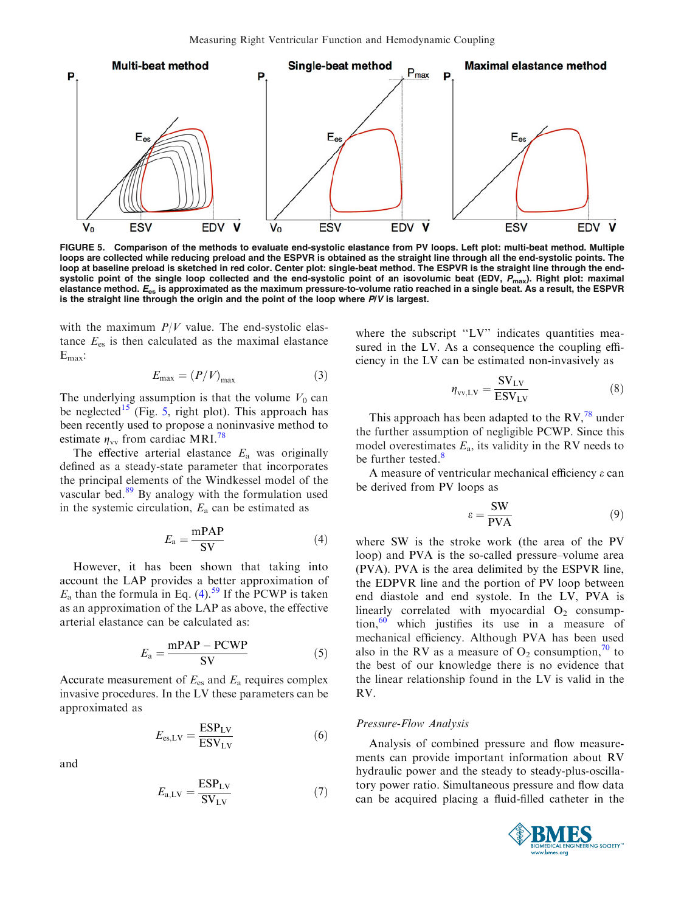<span id="page-6-0"></span>

FIGURE 5. Comparison of the methods to evaluate end-systolic elastance from PV loops. Left plot: multi-beat method. Multiple loops are collected while reducing preload and the ESPVR is obtained as the straight line through all the end-systolic points. The loop at baseline preload is sketched in red color. Center plot: single-beat method. The ESPVR is the straight line through the endsystolic point of the single loop collected and the end-systolic point of an isovolumic beat (EDV,  $P_{\text{max}}$ ). Right plot: maximal elastance method.  $E_{es}$  is approximated as the maximum pressure-to-volume ratio reached in a single beat. As a result, the ESPVR is the straight line through the origin and the point of the loop where  $P/V$  is largest.

with the maximum  $P/V$  value. The end-systolic elastance  $E_{es}$  is then calculated as the maximal elastance Emax:

$$
E_{\text{max}} = (P/V)_{\text{max}} \tag{3}
$$

The underlying assumption is that the volume  $V_0$  can be neglected<sup>[15](#page-12-0)</sup> (Fig. 5, right plot). This approach has been recently used to propose a noninvasive method to estimate  $\eta_{\text{vv}}$  from cardiac MRI.<sup>[78](#page-13-0)</sup>

The effective arterial elastance  $E_a$  was originally defined as a steady-state parameter that incorporates the principal elements of the Windkessel model of the vascular bed.<sup>[89](#page-14-0)</sup> By analogy with the formulation used in the systemic circulation,  $E_a$  can be estimated as

$$
E_{\rm a} = \frac{\rm mPAP}{\rm SV} \tag{4}
$$

However, it has been shown that taking into account the LAP provides a better approximation of  $E_a$  than the formula in Eq. (4).<sup>[59](#page-13-0)</sup> If the PCWP is taken as an approximation of the LAP as above, the effective arterial elastance can be calculated as:

$$
E_{\rm a} = \frac{\rm mPAP - PCWP}{\rm SV} \tag{5}
$$

Accurate measurement of  $E_{\text{es}}$  and  $E_{\text{a}}$  requires complex invasive procedures. In the LV these parameters can be approximated as

$$
E_{\rm es, LV} = \frac{\rm ESP_{LV}}{\rm ESV_{LV}} \tag{6}
$$

and

$$
E_{a,LV} = \frac{ESP_{LV}}{SV_{LV}}\tag{7}
$$

where the subscript "LV" indicates quantities measured in the LV. As a consequence the coupling efficiency in the LV can be estimated non-invasively as

$$
\eta_{\text{vv,LV}} = \frac{\text{SV}_{\text{LV}}}{\text{ESV}_{\text{LV}}} \tag{8}
$$

This approach has been adapted to the  $RV<sub>1</sub><sup>78</sup>$  $RV<sub>1</sub><sup>78</sup>$  $RV<sub>1</sub><sup>78</sup>$  under the further assumption of negligible PCWP. Since this model overestimates  $E_a$ , its validity in the RV needs to be further tested.<sup>[8](#page-12-0)</sup>

A measure of ventricular mechanical efficiency  $\varepsilon$  can be derived from PV loops as

$$
\varepsilon = \frac{\text{SW}}{\text{PVA}}\tag{9}
$$

where SW is the stroke work (the area of the PV loop) and PVA is the so-called pressure–volume area (PVA). PVA is the area delimited by the ESPVR line, the EDPVR line and the portion of PV loop between end diastole and end systole. In the LV, PVA is linearly correlated with myocardial  $O_2$  consumption, $60$  which justifies its use in a measure of mechanical efficiency. Although PVA has been used also in the RV as a measure of  $O_2$  consumption,<sup>[70](#page-13-0)</sup> to the best of our knowledge there is no evidence that the linear relationship found in the LV is valid in the RV.

#### Pressure-Flow Analysis

Analysis of combined pressure and flow measurements can provide important information about RV hydraulic power and the steady to steady-plus-oscillatory power ratio. Simultaneous pressure and flow data can be acquired placing a fluid-filled catheter in the

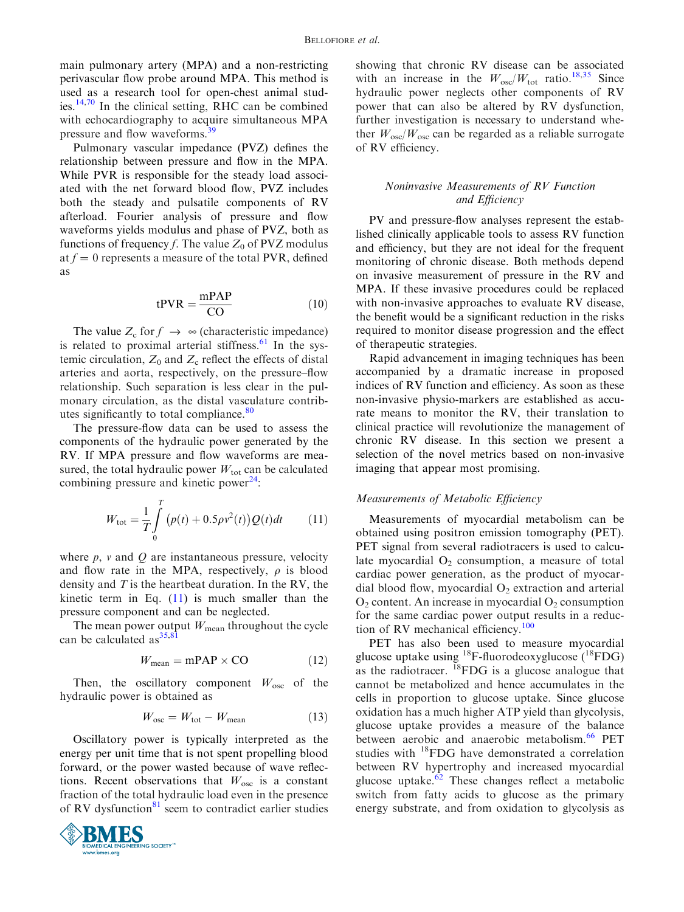<span id="page-7-0"></span>main pulmonary artery (MPA) and a non-restricting perivascular flow probe around MPA. This method is used as a research tool for open-chest animal stud-ies.<sup>[14](#page-12-0)[,70](#page-13-0)</sup> In the clinical setting, RHC can be combined with echocardiography to acquire simultaneous MPA pressure and flow waveforms.<sup>[39](#page-12-0)</sup>

Pulmonary vascular impedance (PVZ) defines the relationship between pressure and flow in the MPA. While PVR is responsible for the steady load associated with the net forward blood flow, PVZ includes both the steady and pulsatile components of RV afterload. Fourier analysis of pressure and flow waveforms yields modulus and phase of PVZ, both as functions of frequency f. The value  $Z_0$  of PVZ modulus at  $f = 0$  represents a measure of the total PVR, defined as

$$
tPVR = \frac{mPAP}{CO}
$$
 (10)

The value  $Z_c$  for  $f \rightarrow \infty$  (characteristic impedance) is related to proximal arterial stiffness. $^{61}$  $^{61}$  $^{61}$  In the systemic circulation,  $Z_0$  and  $Z_c$  reflect the effects of distal arteries and aorta, respectively, on the pressure–flow relationship. Such separation is less clear in the pulmonary circulation, as the distal vasculature contributes significantly to total compliance. $80$ 

The pressure-flow data can be used to assess the components of the hydraulic power generated by the RV. If MPA pressure and flow waveforms are measured, the total hydraulic power  $W_{\text{tot}}$  can be calculated combining pressure and kinetic power<sup>24</sup>:

$$
W_{\text{tot}} = \frac{1}{T} \int_{0}^{T} (p(t) + 0.5\rho v^{2}(t)) Q(t) dt \qquad (11)
$$

where  $p$ ,  $v$  and  $Q$  are instantaneous pressure, velocity and flow rate in the MPA, respectively,  $\rho$  is blood density and  $T$  is the heartbeat duration. In the RV, the kinetic term in Eq.  $(11)$  is much smaller than the pressure component and can be neglected.

The mean power output  $W_{\text{mean}}$  throughout the cycle can be calculated  $as^{35,81}$  $as^{35,81}$  $as^{35,81}$  $as^{35,81}$ 

$$
W_{\text{mean}} = \text{mPAP} \times \text{CO} \tag{12}
$$

Then, the oscillatory component  $W_{\text{osc}}$  of the hydraulic power is obtained as

$$
W_{\text{osc}} = W_{\text{tot}} - W_{\text{mean}} \tag{13}
$$

Oscillatory power is typically interpreted as the energy per unit time that is not spent propelling blood forward, or the power wasted because of wave reflections. Recent observations that  $W_{\text{osc}}$  is a constant fraction of the total hydraulic load even in the presence of RV dysfunction $81$  seem to contradict earlier studies



showing that chronic RV disease can be associated with an increase in the  $W_{\text{osc}}/W_{\text{tot}}$  ratio.<sup>18,35</sup> Since hydraulic power neglects other components of RV power that can also be altered by RV dysfunction, further investigation is necessary to understand whether  $W_{\text{osc}}/W_{\text{osc}}$  can be regarded as a reliable surrogate of RV efficiency.

# Noninvasive Measurements of RV Function and Efficiency

PV and pressure-flow analyses represent the established clinically applicable tools to assess RV function and efficiency, but they are not ideal for the frequent monitoring of chronic disease. Both methods depend on invasive measurement of pressure in the RV and MPA. If these invasive procedures could be replaced with non-invasive approaches to evaluate RV disease, the benefit would be a significant reduction in the risks required to monitor disease progression and the effect of therapeutic strategies.

Rapid advancement in imaging techniques has been accompanied by a dramatic increase in proposed indices of RV function and efficiency. As soon as these non-invasive physio-markers are established as accurate means to monitor the RV, their translation to clinical practice will revolutionize the management of chronic RV disease. In this section we present a selection of the novel metrics based on non-invasive imaging that appear most promising.

## Measurements of Metabolic Efficiency

Measurements of myocardial metabolism can be obtained using positron emission tomography (PET). PET signal from several radiotracers is used to calculate myocardial  $O_2$  consumption, a measure of total cardiac power generation, as the product of myocardial blood flow, myocardial  $O<sub>2</sub>$  extraction and arterial  $O_2$  content. An increase in myocardial  $O_2$  consumption for the same cardiac power output results in a reduc-tion of RV mechanical efficiency.<sup>[100](#page-14-0)</sup>

PET has also been used to measure myocardial glucose uptake using 18F-fluorodeoxyglucose (18FDG) as the radiotracer.  ${}^{18}$ FDG is a glucose analogue that cannot be metabolized and hence accumulates in the cells in proportion to glucose uptake. Since glucose oxidation has a much higher ATP yield than glycolysis, glucose uptake provides a measure of the balance between aerobic and anaerobic metabolism.<sup>[66](#page-13-0)</sup> PET studies with <sup>18</sup>FDG have demonstrated a correlation between RV hypertrophy and increased myocardial glucose uptake. $62$  These changes reflect a metabolic switch from fatty acids to glucose as the primary energy substrate, and from oxidation to glycolysis as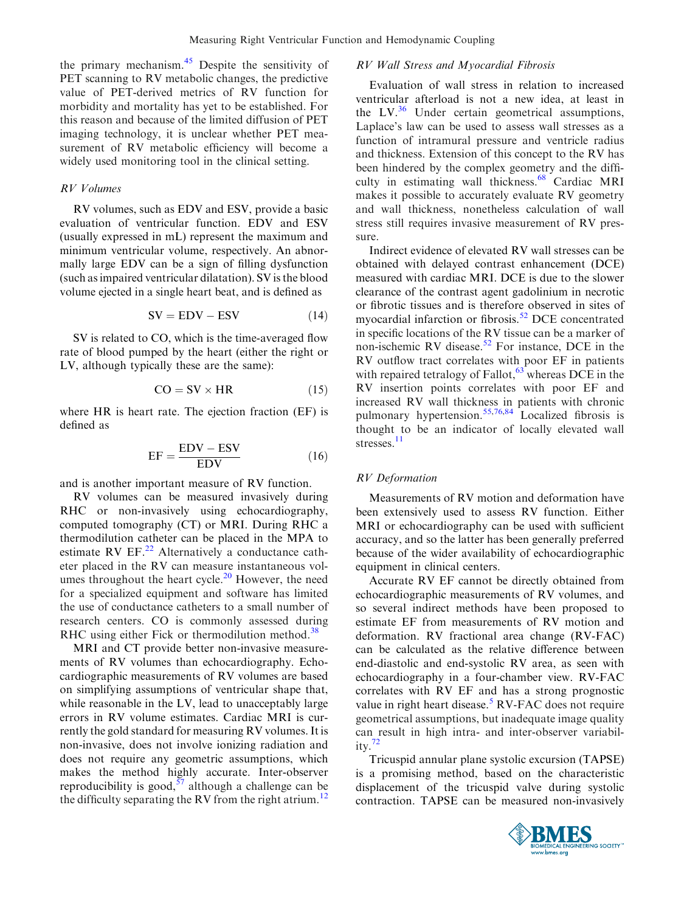<span id="page-8-0"></span>the primary mechanism.<sup>[45](#page-13-0)</sup> Despite the sensitivity of PET scanning to RV metabolic changes, the predictive value of PET-derived metrics of RV function for morbidity and mortality has yet to be established. For this reason and because of the limited diffusion of PET imaging technology, it is unclear whether PET measurement of RV metabolic efficiency will become a widely used monitoring tool in the clinical setting.

# RV Volumes

RV volumes, such as EDV and ESV, provide a basic evaluation of ventricular function. EDV and ESV (usually expressed in mL) represent the maximum and minimum ventricular volume, respectively. An abnormally large EDV can be a sign of filling dysfunction (such as impaired ventricular dilatation). SV is the blood volume ejected in a single heart beat, and is defined as

$$
SV = EDV - ESV \tag{14}
$$

SV is related to CO, which is the time-averaged flow rate of blood pumped by the heart (either the right or LV, although typically these are the same):

$$
CO = SV \times HR
$$
 (15)

where HR is heart rate. The ejection fraction (EF) is defined as

$$
EF = \frac{EDV - ESV}{EDV}
$$
 (16)

and is another important measure of RV function.

RV volumes can be measured invasively during RHC or non-invasively using echocardiography, computed tomography (CT) or MRI. During RHC a thermodilution catheter can be placed in the MPA to estimate RV EF. $^{22}$  $^{22}$  $^{22}$  Alternatively a conductance catheter placed in the RV can measure instantaneous volumes throughout the heart cycle. $^{20}$  $^{20}$  $^{20}$  However, the need for a specialized equipment and software has limited the use of conductance catheters to a small number of research centers. CO is commonly assessed during RHC using either Fick or thermodilution method.<sup>[38](#page-12-0)</sup>

MRI and CT provide better non-invasive measurements of RV volumes than echocardiography. Echocardiographic measurements of RV volumes are based on simplifying assumptions of ventricular shape that, while reasonable in the LV, lead to unacceptably large errors in RV volume estimates. Cardiac MRI is currently the gold standard for measuring RV volumes. It is non-invasive, does not involve ionizing radiation and does not require any geometric assumptions, which makes the method highly accurate. Inter-observer reproducibility is good,  $\frac{57}{7}$  $\frac{57}{7}$  $\frac{57}{7}$  although a challenge can be the difficulty separating the RV from the right atrium.<sup>[12](#page-12-0)</sup>

#### RV Wall Stress and Myocardial Fibrosis

Evaluation of wall stress in relation to increased ventricular afterload is not a new idea, at least in the LV. $36$  Under certain geometrical assumptions, Laplace's law can be used to assess wall stresses as a function of intramural pressure and ventricle radius and thickness. Extension of this concept to the RV has been hindered by the complex geometry and the diffi-culty in estimating wall thickness.<sup>[68](#page-13-0)</sup> Cardiac MRI makes it possible to accurately evaluate RV geometry and wall thickness, nonetheless calculation of wall stress still requires invasive measurement of RV pressure.

Indirect evidence of elevated RV wall stresses can be obtained with delayed contrast enhancement (DCE) measured with cardiac MRI. DCE is due to the slower clearance of the contrast agent gadolinium in necrotic or fibrotic tissues and is therefore observed in sites of myocardial infarction or fibrosis.<sup>[52](#page-13-0)</sup> DCE concentrated in specific locations of the RV tissue can be a marker of non-ischemic RV disease.<sup>[52](#page-13-0)</sup> For instance, DCE in the RV outflow tract correlates with poor EF in patients with repaired tetralogy of Fallot, $63$  whereas DCE in the RV insertion points correlates with poor EF and increased RV wall thickness in patients with chronic pulmonary hypertension.<sup>[55,76](#page-13-0)[,84](#page-14-0)</sup> Localized fibrosis is thought to be an indicator of locally elevated wall stresses.<sup>[11](#page-12-0)</sup>

#### RV Deformation

Measurements of RV motion and deformation have been extensively used to assess RV function. Either MRI or echocardiography can be used with sufficient accuracy, and so the latter has been generally preferred because of the wider availability of echocardiographic equipment in clinical centers.

Accurate RV EF cannot be directly obtained from echocardiographic measurements of RV volumes, and so several indirect methods have been proposed to estimate EF from measurements of RV motion and deformation. RV fractional area change (RV-FAC) can be calculated as the relative difference between end-diastolic and end-systolic RV area, as seen with echocardiography in a four-chamber view. RV-FAC correlates with RV EF and has a strong prognostic value in right heart disease.<sup>[5](#page-11-0)</sup> RV-FAC does not require geometrical assumptions, but inadequate image quality can result in high intra- and inter-observer variability. $72$ 

Tricuspid annular plane systolic excursion (TAPSE) is a promising method, based on the characteristic displacement of the tricuspid valve during systolic contraction. TAPSE can be measured non-invasively

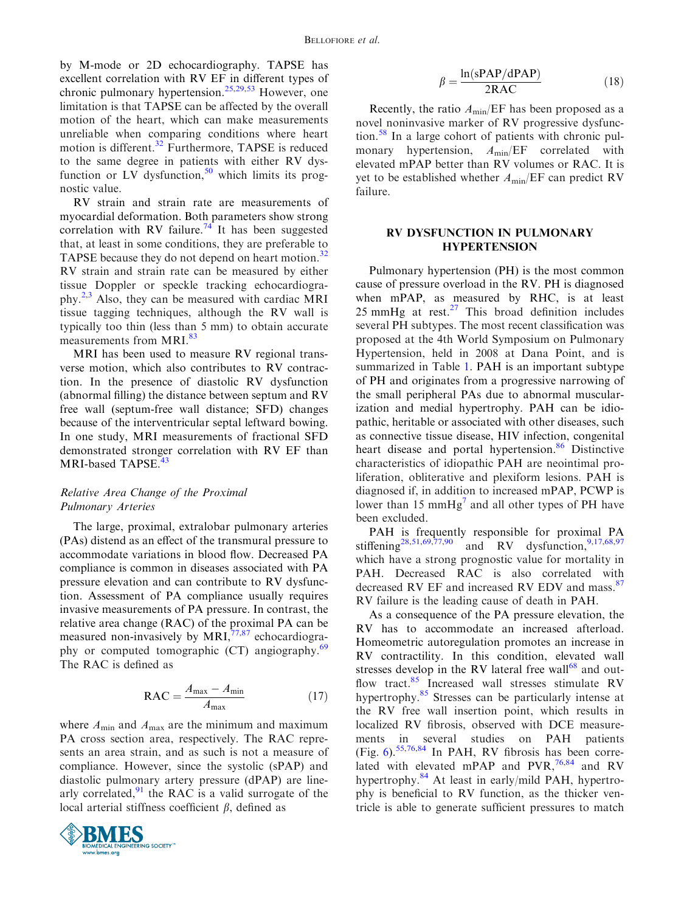<span id="page-9-0"></span>by M-mode or 2D echocardiography. TAPSE has excellent correlation with RV EF in different types of chronic pulmonary hypertension.<sup>[25,29](#page-12-0)[,53](#page-13-0)</sup> However, one limitation is that TAPSE can be affected by the overall motion of the heart, which can make measurements unreliable when comparing conditions where heart motion is different.<sup>[32](#page-12-0)</sup> Furthermore, TAPSE is reduced to the same degree in patients with either RV dysfunction or LV dysfunction,  $50$  which limits its prognostic value.

RV strain and strain rate are measurements of myocardial deformation. Both parameters show strong correlation with RV failure.<sup>[74](#page-13-0)</sup> It has been suggested that, at least in some conditions, they are preferable to TAPSE because they do not depend on heart motion. $^{32}$  $^{32}$  $^{32}$ RV strain and strain rate can be measured by either tissue Doppler or speckle tracking echocardiography.[2,3](#page-11-0) Also, they can be measured with cardiac MRI tissue tagging techniques, although the RV wall is typically too thin (less than 5 mm) to obtain accurate measurements from MRI.<sup>[83](#page-13-0)</sup>

MRI has been used to measure RV regional transverse motion, which also contributes to RV contraction. In the presence of diastolic RV dysfunction (abnormal filling) the distance between septum and RV free wall (septum-free wall distance; SFD) changes because of the interventricular septal leftward bowing. In one study, MRI measurements of fractional SFD demonstrated stronger correlation with RV EF than MRI-based TAPSE.<sup>[43](#page-12-0)</sup>

# Relative Area Change of the Proximal Pulmonary Arteries

The large, proximal, extralobar pulmonary arteries (PAs) distend as an effect of the transmural pressure to accommodate variations in blood flow. Decreased PA compliance is common in diseases associated with PA pressure elevation and can contribute to RV dysfunction. Assessment of PA compliance usually requires invasive measurements of PA pressure. In contrast, the relative area change (RAC) of the proximal PA can be measured non-invasively by  $MRI$ ,  $77,87$  $77,87$  echocardiography or computed tomographic  $(CT)$  angiography.<sup>[69](#page-13-0)</sup> The RAC is defined as

$$
RAC = \frac{A_{\text{max}} - A_{\text{min}}}{A_{\text{max}}}
$$
 (17)

where  $A_{\text{min}}$  and  $A_{\text{max}}$  are the minimum and maximum PA cross section area, respectively. The RAC represents an area strain, and as such is not a measure of compliance. However, since the systolic (sPAP) and diastolic pulmonary artery pressure (dPAP) are linearly correlated, $\frac{91}{91}$  $\frac{91}{91}$  $\frac{91}{91}$  the RAC is a valid surrogate of the local arterial stiffness coefficient  $\beta$ , defined as



$$
\beta = \frac{\ln(\text{sPAP}/\text{dPAP})}{2\text{RAC}}\tag{18}
$$

Recently, the ratio  $A_{\text{min}}/EF$  has been proposed as a novel noninvasive marker of RV progressive dysfunc-tion.<sup>[58](#page-13-0)</sup> In a large cohort of patients with chronic pulmonary hypertension,  $A_{\text{min}}/EF$  correlated with elevated mPAP better than RV volumes or RAC. It is yet to be established whether  $A_{\text{min}}/EF$  can predict RV failure.

# RV DYSFUNCTION IN PULMONARY **HYPERTENSION**

Pulmonary hypertension (PH) is the most common cause of pressure overload in the RV. PH is diagnosed when mPAP, as measured by RHC, is at least 25 mmHg at rest. $27$  This broad definition includes several PH subtypes. The most recent classification was proposed at the 4th World Symposium on Pulmonary Hypertension, held in 2008 at Dana Point, and is summarized in Table [1.](#page-10-0) PAH is an important subtype of PH and originates from a progressive narrowing of the small peripheral PAs due to abnormal muscularization and medial hypertrophy. PAH can be idiopathic, heritable or associated with other diseases, such as connective tissue disease, HIV infection, congenital heart disease and portal hypertension.<sup>[86](#page-14-0)</sup> Distinctive characteristics of idiopathic PAH are neointimal proliferation, obliterative and plexiform lesions. PAH is diagnosed if, in addition to increased mPAP, PCWP is lower than 15 mmHg $^{\prime}$  and all other types of PH have been excluded.

PAH is frequently responsible for proximal PA stiffening<sup>[28](#page-12-0)[,51,69,77,](#page-13-0)[90](#page-14-0)</sup> and RV dysfunction,  $9,17,68,97$  $9,17,68,97$  $9,17,68,97$ which have a strong prognostic value for mortality in PAH. Decreased RAC is also correlated with decreased RV EF and increased RV EDV and mass.<sup>[87](#page-14-0)</sup> RV failure is the leading cause of death in PAH.

As a consequence of the PA pressure elevation, the RV has to accommodate an increased afterload. Homeometric autoregulation promotes an increase in RV contractility. In this condition, elevated wall stresses develop in the RV lateral free wall $^{68}$  $^{68}$  $^{68}$  and out-flow tract.<sup>[85](#page-14-0)</sup> Increased wall stresses stimulate RV hypertrophy.<sup>[85](#page-14-0)</sup> Stresses can be particularly intense at the RV free wall insertion point, which results in localized RV fibrosis, observed with DCE measurements in several studies on PAH patients (Fig. [6\)](#page-11-0).[55,76,](#page-13-0)[84](#page-14-0) In PAH, RV fibrosis has been correlated with elevated mPAP and  $PVR$ ,<sup>[76](#page-13-0)[,84](#page-14-0)</sup> and RV hypertrophy.<sup>[84](#page-14-0)</sup> At least in early/mild PAH, hypertrophy is beneficial to RV function, as the thicker ventricle is able to generate sufficient pressures to match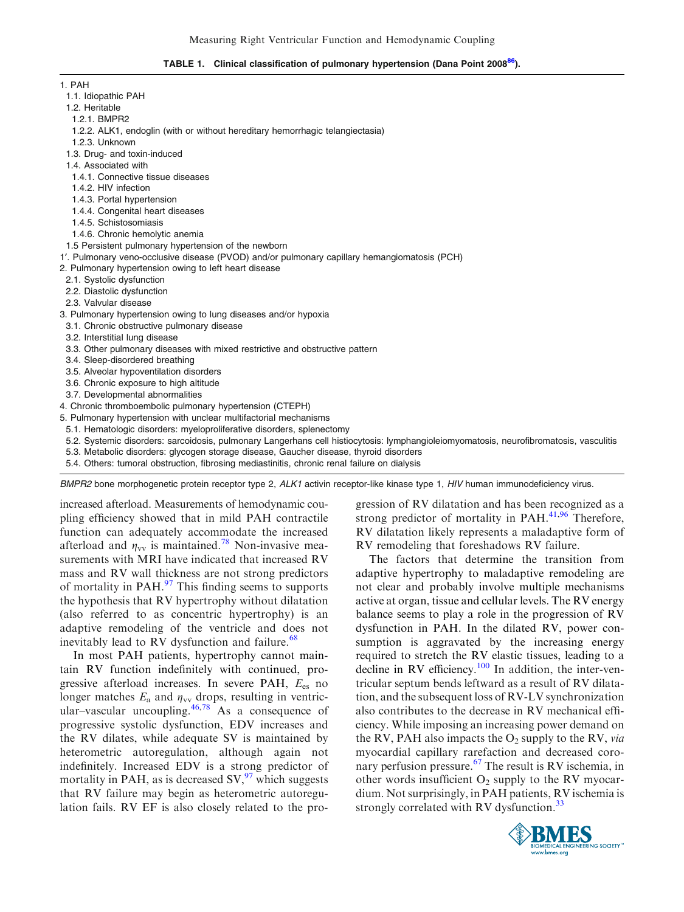<span id="page-10-0"></span>1. PAH

- 1.1. Idiopathic PAH
- 1.2. Heritable
- 1.2.1. BMPR2
- 1.2.2. ALK1, endoglin (with or without hereditary hemorrhagic telangiectasia)
- 1.2.3. Unknown
- 1.3. Drug- and toxin-induced
- 1.4. Associated with
- 1.4.1. Connective tissue diseases
- 1.4.2. HIV infection
- 1.4.3. Portal hypertension
- 1.4.4. Congenital heart diseases
- 1.4.5. Schistosomiasis
- 1.4.6. Chronic hemolytic anemia
- 1.5 Persistent pulmonary hypertension of the newborn
- 1¢. Pulmonary veno-occlusive disease (PVOD) and/or pulmonary capillary hemangiomatosis (PCH)
- 2. Pulmonary hypertension owing to left heart disease
- 2.1. Systolic dysfunction
- 2.2. Diastolic dysfunction
- 2.3. Valvular disease
- 3. Pulmonary hypertension owing to lung diseases and/or hypoxia
- 3.1. Chronic obstructive pulmonary disease
- 3.2. Interstitial lung disease
- 3.3. Other pulmonary diseases with mixed restrictive and obstructive pattern
- 3.4. Sleep-disordered breathing
- 3.5. Alveolar hypoventilation disorders
- 3.6. Chronic exposure to high altitude
- 3.7. Developmental abnormalities
- 4. Chronic thromboembolic pulmonary hypertension (CTEPH)
- 5. Pulmonary hypertension with unclear multifactorial mechanisms
- 5.1. Hematologic disorders: myeloproliferative disorders, splenectomy
- 5.2. Systemic disorders: sarcoidosis, pulmonary Langerhans cell histiocytosis: lymphangioleiomyomatosis, neurofibromatosis, vasculitis
- 5.3. Metabolic disorders: glycogen storage disease, Gaucher disease, thyroid disorders
- 5.4. Others: tumoral obstruction, fibrosing mediastinitis, chronic renal failure on dialysis

BMPR2 bone morphogenetic protein receptor type 2, ALK1 activin receptor-like kinase type 1, HIV human immunodeficiency virus.

increased afterload. Measurements of hemodynamic coupling efficiency showed that in mild PAH contractile function can adequately accommodate the increased afterload and  $\eta_{vv}$  is maintained.<sup>[78](#page-13-0)</sup> Non-invasive measurements with MRI have indicated that increased RV mass and RV wall thickness are not strong predictors of mortality in  $PAH<sup>97</sup>$  $PAH<sup>97</sup>$  $PAH<sup>97</sup>$  This finding seems to supports the hypothesis that RV hypertrophy without dilatation (also referred to as concentric hypertrophy) is an adaptive remodeling of the ventricle and does not inevitably lead to RV dysfunction and failure. $68$ 

In most PAH patients, hypertrophy cannot maintain RV function indefinitely with continued, progressive afterload increases. In severe PAH,  $E_{es}$  no longer matches  $E_a$  and  $\eta_{vv}$  drops, resulting in ventric-ular–vascular uncoupling.<sup>[46,78](#page-13-0)</sup> As a consequence of progressive systolic dysfunction, EDV increases and the RV dilates, while adequate SV is maintained by heterometric autoregulation, although again not indefinitely. Increased EDV is a strong predictor of mortality in PAH, as is decreased  $SV$ , which suggests that RV failure may begin as heterometric autoregulation fails. RV EF is also closely related to the progression of RV dilatation and has been recognized as a strong predictor of mortality in  $PAH<sup>41,96</sup>$  $PAH<sup>41,96</sup>$  $PAH<sup>41,96</sup>$  $PAH<sup>41,96</sup>$  Therefore, RV dilatation likely represents a maladaptive form of RV remodeling that foreshadows RV failure.

The factors that determine the transition from adaptive hypertrophy to maladaptive remodeling are not clear and probably involve multiple mechanisms active at organ, tissue and cellular levels. The RV energy balance seems to play a role in the progression of RV dysfunction in PAH. In the dilated RV, power consumption is aggravated by the increasing energy required to stretch the RV elastic tissues, leading to a decline in RV efficiency.<sup>[100](#page-14-0)</sup> In addition, the inter-ventricular septum bends leftward as a result of RV dilatation, and the subsequent loss of RV-LV synchronization also contributes to the decrease in RV mechanical efficiency. While imposing an increasing power demand on the RV, PAH also impacts the  $O_2$  supply to the RV, via myocardial capillary rarefaction and decreased coronary perfusion pressure.[67](#page-13-0) The result is RV ischemia, in other words insufficient  $O_2$  supply to the RV myocardium. Not surprisingly, in PAH patients, RV ischemia is strongly correlated with RV dysfunction.<sup>[33](#page-12-0)</sup>

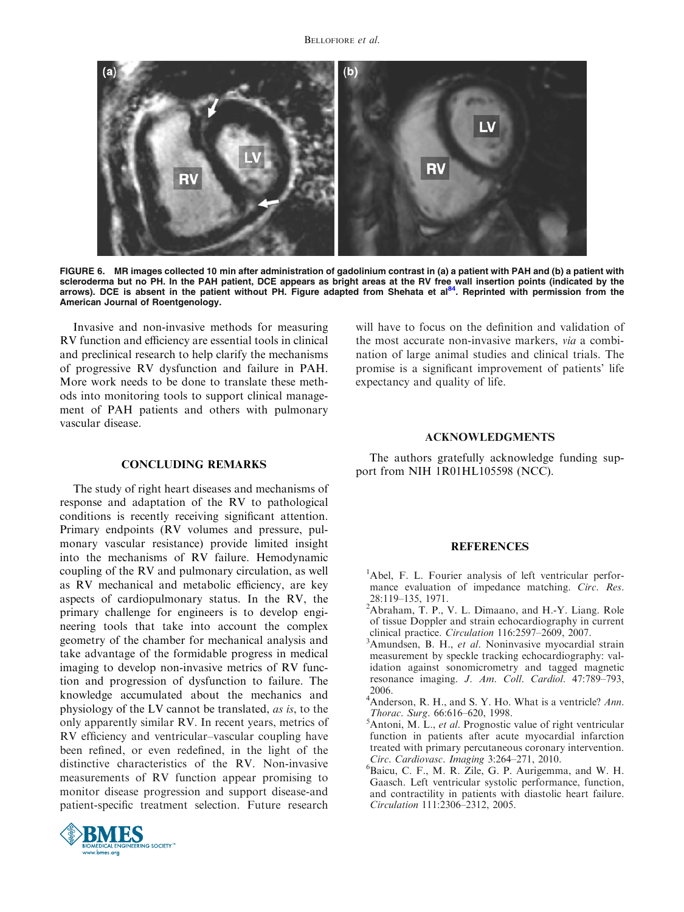<span id="page-11-0"></span>



Invasive and non-invasive methods for measuring RV function and efficiency are essential tools in clinical and preclinical research to help clarify the mechanisms of progressive RV dysfunction and failure in PAH. More work needs to be done to translate these methods into monitoring tools to support clinical management of PAH patients and others with pulmonary vascular disease.

#### CONCLUDING REMARKS

The study of right heart diseases and mechanisms of response and adaptation of the RV to pathological conditions is recently receiving significant attention. Primary endpoints (RV volumes and pressure, pulmonary vascular resistance) provide limited insight into the mechanisms of RV failure. Hemodynamic coupling of the RV and pulmonary circulation, as well as RV mechanical and metabolic efficiency, are key aspects of cardiopulmonary status. In the RV, the primary challenge for engineers is to develop engineering tools that take into account the complex geometry of the chamber for mechanical analysis and take advantage of the formidable progress in medical imaging to develop non-invasive metrics of RV function and progression of dysfunction to failure. The knowledge accumulated about the mechanics and physiology of the LV cannot be translated, as is, to the only apparently similar RV. In recent years, metrics of RV efficiency and ventricular–vascular coupling have been refined, or even redefined, in the light of the distinctive characteristics of the RV. Non-invasive measurements of RV function appear promising to monitor disease progression and support disease-and patient-specific treatment selection. Future research



will have to focus on the definition and validation of the most accurate non-invasive markers, via a combination of large animal studies and clinical trials. The promise is a significant improvement of patients' life expectancy and quality of life.

## ACKNOWLEDGMENTS

The authors gratefully acknowledge funding support from NIH 1R01HL105598 (NCC).

## **REFERENCES**

- <sup>1</sup>Abel, F. L. Fourier analysis of left ventricular performance evaluation of impedance matching. Circ. Res. 28:119–135, 1971.
- <sup>2</sup>Abraham, T. P., V. L. Dimaano, and H.-Y. Liang. Role of tissue Doppler and strain echocardiography in current clinical practice. Circulation 116:2597-2609, 2007.
- <sup>3</sup>Amundsen, B. H., et al. Noninvasive myocardial strain measurement by speckle tracking echocardiography: validation against sonomicrometry and tagged magnetic resonance imaging. J. Am. Coll. Cardiol. 47:789–793, 2006.
- <sup>4</sup>Anderson, R. H., and S. Y. Ho. What is a ventricle? Ann. Thorac. Surg. 66:616–620, 1998. <sup>5</sup>
- ${}^5$ Antoni, M. L., et al. Prognostic value of right ventricular function in patients after acute myocardial infarction treated with primary percutaneous coronary intervention. Circ. Cardiovasc. Imaging 3:264–271, 2010. <sup>6</sup>
- ${}^{6}$ Baicu, C. F., M. R. Zile, G. P. Aurigemma, and W. H. Gaasch. Left ventricular systolic performance, function, and contractility in patients with diastolic heart failure. Circulation 111:2306–2312, 2005.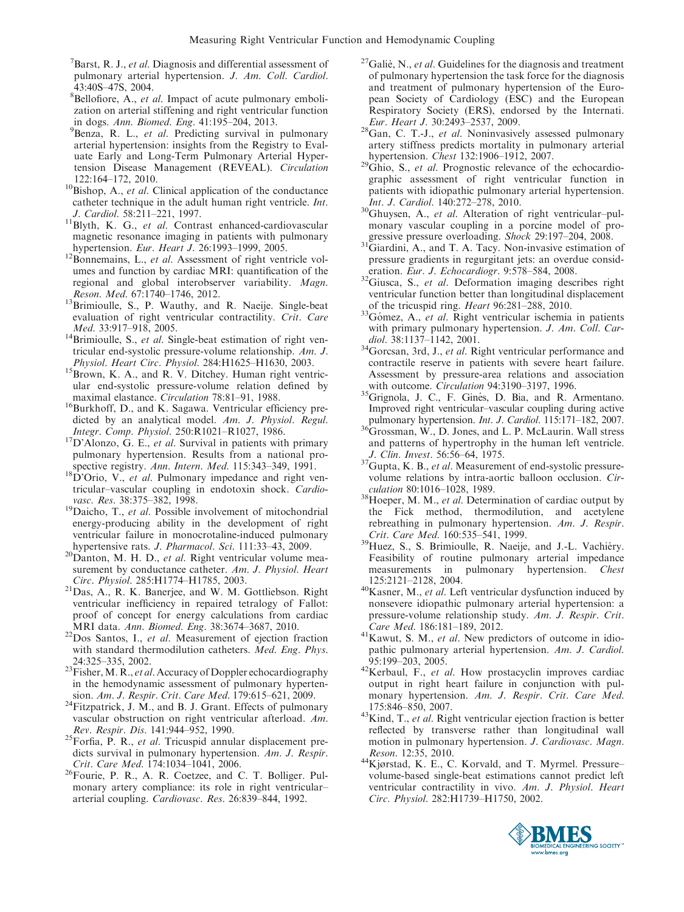- <span id="page-12-0"></span><sup>7</sup>Barst, R. J., et al. Diagnosis and differential assessment of pulmonary arterial hypertension. J. Am. Coll. Cardiol. 43:40S–47S, 2004.
- <sup>8</sup>Bellofiore, A., et al. Impact of acute pulmonary embolization on arterial stiffening and right ventricular function in dogs. Ann. Biomed. Eng. 41:195–204, 2013. <sup>9</sup>
- <sup>9</sup>Benza, R. L., et al. Predicting survival in pulmonary arterial hypertension: insights from the Registry to Evaluate Early and Long-Term Pulmonary Arterial Hypertension Disease Management (REVEAL). Circulation
- 122:164–172, 2010.<br><sup>10</sup>Bishop, A., *et al.* Clinical application of the conductance catheter technique in the adult human right ventricle. Int.
- J. Cardiol. 58:211–221, 1997.<br><sup>11</sup>Blyth, K. G., et al. Contrast enhanced-cardiovascular magnetic resonance imaging in patients with pulmonary
- hypertension. Eur. Heart J. 26:1993-1999, 2005.<br><sup>12</sup>Bonnemains, L., et al. Assessment of right ventricle volumes and function by cardiac MRI: quantification of the regional and global interobserver variability. Magn.
- Reson. Med. 67:1740-1746, 2012.<br><sup>13</sup>Brimioulle, S., P. Wauthy, and R. Naeije. Single-beat evaluation of right ventricular contractility. Crit. Care Med. 33:917-918, 2005.
- $14$ Brimioulle, S., et al. Single-beat estimation of right ventricular end-systolic pressure-volume relationship. Am. J.<br>Physiol. Heart Circ. Physiol. 284:H1625–H1630, 2003.
- <sup>15</sup>Brown, K. A., and R. V. Ditchey. Human right ventricular end-systolic pressure-volume relation defined by
- maximal elastance. *Circulation 78:81–91*, 1988.<br><sup>16</sup>Burkhoff, D., and K. Sagawa. Ventricular efficiency predicted by an analytical model. Am. J. Physiol. Regul.<br>Integr. Comp. Physiol. 250:R1021-R1027, 1986.
- $17D'$ Alonzo, G. E., et al. Survival in patients with primary pulmonary hypertension. Results from a national pro-
- spective registry. Ann. Intern. Med. 115:343–349, 1991.<br><sup>18</sup>D'Orio, V., et al. Pulmonary impedance and right ventricular–vascular coupling in endotoxin shock. Cardio-
- vasc. Res. 38:375–382, 1998.<br><sup>19</sup>Daicho, T., et al. Possible involvement of mitochondrial energy-producing ability in the development of right ventricular failure in monocrotaline-induced pulmonary
- hypertensive rats. *J. Pharmacol. Sci.* 111:33–43, 2009.<br><sup>20</sup>Danton, M. H. D., *et al.* Right ventricular volume measurement by conductance catheter. Am. J. Physiol. Heart
- Circ. Physiol. 285:H1774–H1785, 2003. 21Das, A., R. K. Banerjee, and W. M. Gottliebson. Right ventricular inefficiency in repaired tetralogy of Fallot: proof of concept for energy calculations from cardiac MRI data. Ann. Biomed. Eng. 38:3674-3687, 2010.
- $^{22}$ Dos Santos, I., et al. Measurement of ejection fraction with standard thermodilution catheters. *Med. Eng. Phys.*
- 24:325–335, 2002.<br><sup>23</sup>Fisher, M. R., *et al.* Accuracy of Doppler echocardiography in the hemodynamic assessment of pulmonary hyperten-
- sion. Am. J. Respir. Crit. Care Med. 179:615–621, 2009. 24Fitzpatrick, J. M., and B. J. Grant. Effects of pulmonary vascular obstruction on right ventricular afterload. Am.<br>Rev. Respir. Dis. 141:944-952, 1990.
- $25$ Forfia, P. R., et al. Tricuspid annular displacement predicts survival in pulmonary hypertension. Am. J. Respir.
- Crit. Care Med. 174:1034–1041, 2006. 26Fourie, P. R., A. R. Coetzee, and C. T. Bolliger. Pulmonary artery compliance: its role in right ventricular– arterial coupling. Cardiovasc. Res. 26:839–844, 1992.
- $^{27}$ Galiè, N., et al. Guidelines for the diagnosis and treatment of pulmonary hypertension the task force for the diagnosis and treatment of pulmonary hypertension of the European Society of Cardiology (ESC) and the European Respiratory Society (ERS), endorsed by the Internati. *Eur. Heart J.* 30:2493–2537, 2009.
- <sup>28</sup>Gan, C. T.-J., et al. Noninvasively assessed pulmonary artery stiffness predicts mortality in pulmonary arterial hypertension. Chest 132:1906-1912, 2007.
- $29\text{Ghio}, S$ ., et al. Prognostic relevance of the echocardiographic assessment of right ventricular function in patients with idiopathic pulmonary arterial hypertension.
- *Int. J. Cardiol.* 140:272–278, 2010.<br><sup>30</sup>Ghuysen, A., *et al.* Alteration of right ventricular–pulmonary vascular coupling in a porcine model of pro-
- gressive pressure overloading. Shock 29:197–204, 2008. 31Giardini, A., and T. A. Tacy. Non-invasive estimation of pressure gradients in regurgitant jets: an overdue consideration. Eur. J. Echocardiogr. 9:578–584, 2008.
- <sup>32</sup>Giusca, S., et al. Deformation imaging describes right ventricular function better than longitudinal displacement
- of the tricuspid ring. *Heart* 96:281–288, 2010.  $33\overline{\text{Gómez}}$ , A., *et al.* Right ventricular ischemia in patients with primary pulmonary hypertension. J. Am. Coll. Car-
- diol. 38:1137–1142, 2001.<br> $34$ Gorcsan, 3rd, J., *et al.* Right ventricular performance and contractile reserve in patients with severe heart failure. Assessment by pressure-area relations and association with outcome. *Circulation* 94:3190–3197, 1996.
- <sup>35</sup>Grignola, J. C., F. Ginés, D. Bia, and R. Armentano. Improved right ventricular–vascular coupling during active pulmonary hypertension. Int. J. Cardiol. 115:171–182, 2007.
- <sup>36</sup>Grossman, W., D. Jones, and L. P. McLaurin. Wall stress and patterns of hypertrophy in the human left ventricle.
- J. Clin. Invest. 56:56–64, 1975.<br><sup>37</sup>Gupta, K. B., *et al.* Measurement of end-systolic pressurevolume relations by intra-aortic balloon occlusion. Cir-
- culation 80:1016–1028, 1989.<br><sup>38</sup>Hoeper, M. M., *et al.* Determination of cardiac output by the Fick method, thermodilution, and acetylene rebreathing in pulmonary hypertension. Am. J. Respir.
- Crit. Care Med. 160:535–541, 1999.<br><sup>39</sup>Huez, S., S. Brimioulle, R. Naeije, and J.-L. Vachiéry. Feasibility of routine pulmonary arterial impedance measurements in pulmonary hypertension. Chest
- 125:2121–2128, 2004.<br><sup>40</sup>Kasner, M., *et al.* Left ventricular dysfunction induced by nonsevere idiopathic pulmonary arterial hypertension: a pressure-volume relationship study. Am. J. Respir. Crit. Care Med. 186:181-189, 2012.
- $A<sup>1</sup>$ Kawut, S. M., et al. New predictors of outcome in idiopathic pulmonary arterial hypertension. Am. J. Cardiol.
- 95:199–203, 2005.<br><sup>42</sup>Kerbaul, F., *et al.* How prostacyclin improves cardiac output in right heart failure in conjunction with pulmonary hypertension. Am. J. Respir. Crit. Care Med.
- 175:846–850, 2007.<br><sup>43</sup>Kind, T., *et al.* Right ventricular ejection fraction is better reflected by transverse rather than longitudinal wall motion in pulmonary hypertension. J. Cardiovasc. Magn.
- Reson. 12:35, 2010.<br><sup>44</sup>Kjørstad, K. E., C. Korvald, and T. Myrmel. Pressure– volume-based single-beat estimations cannot predict left ventricular contractility in vivo. Am. J. Physiol. Heart Circ. Physiol. 282:H1739–H1750, 2002.

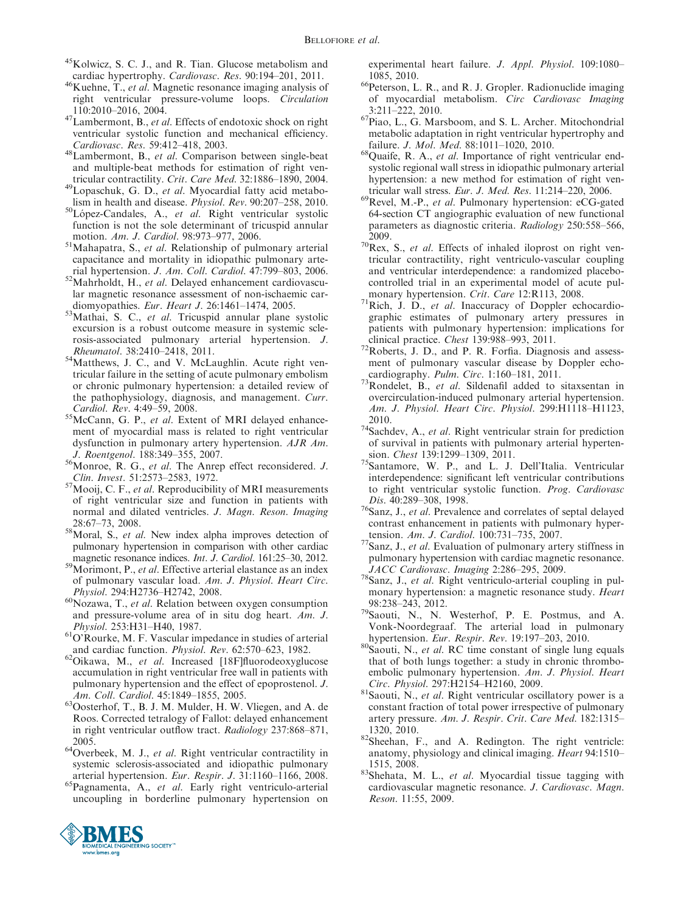- <span id="page-13-0"></span><sup>45</sup>Kolwicz, S. C. J., and R. Tian. Glucose metabolism and cardiac hypertrophy. *Cardiovasc. Res.* 90:194–201, 2011.
- $46$ Kuehne, T., et al. Magnetic resonance imaging analysis of right ventricular pressure-volume loops. Circulation
- $11$ <sup>47</sup>Lambermont, B., *et al.* Effects of endotoxic shock on right ventricular systolic function and mechanical efficiency.
- Cardiovasc. Res. 59:412–418, 2003. 48Lambermont, B., et al. Comparison between single-beat and multiple-beat methods for estimation of right ven-<br>tricular contractility. Crit. Care Med. 32:1886-1890, 2004.
- <sup>49</sup> Lopaschuk, G. D., et al. Myocardial fatty acid metabo-lism in health and disease. *Physiol. Rev.* 90:207–258, 2010.
- $10^{50}$ López-Candales, A., et al. Right ventricular systolic function is not the sole determinant of tricuspid annular
- motion. Am. J. Cardiol. 98:973-977, 2006.<br><sup>51</sup>Mahapatra, S., et al. Relationship of pulmonary arterial capacitance and mortality in idiopathic pulmonary arte-<br>rial hypertension. J. Am. Coll. Cardiol. 47:799-803, 2006.
- <sup>52</sup>Mahrholdt, H., et al. Delayed enhancement cardiovascular magnetic resonance assessment of non-ischaemic car-
- diomyopathies. Eur. Heart J. 26:1461–1474, 2005.<br>
53 Mathai, S. C., et al. Tricuspid annular plane systolic excursion is a robust outcome measure in systemic sclerosis-associated pulmonary arterial hypertension. J.
- Rheumatol. 38:2410–2418, 2011.<br><sup>54</sup>Matthews, J. C., and V. McLaughlin. Acute right ventricular failure in the setting of acute pulmonary embolism or chronic pulmonary hypertension: a detailed review of the pathophysiology, diagnosis, and management. Curr.
- Cardiol. Rev. 4:49–59, 2008.<br><sup>55</sup>McCann, G. P., et al. Extent of MRI delayed enhancement of myocardial mass is related to right ventricular dysfunction in pulmonary artery hypertension. AJR Am.
- J. Roentgenol. 188:349–355, 2007.<br><sup>56</sup>Monroe, R. G., et al. The Anrep effect reconsidered. J.<br>*Clin. Invest.* 51:2573–2583. 1972.
- $57$ Mooij, C. F., et al. Reproducibility of MRI measurements of right ventricular size and function in patients with normal and dilated ventricles. J. Magn. Reson. Imaging
- $28:67-73$ , 2008.<br><sup>58</sup>Moral, S., *et al.* New index alpha improves detection of pulmonary hypertension in comparison with other cardiac
- magnetic resonance indices. *Int. J. Cardiol.* 161:25–30, 2012. <sup>59</sup>Morimont, P., *et al.* Effective arterial elastance as an index of pulmonary vascular load. Am. J. Physiol. Heart Circ.
- Physiol. 294:H2736–H2742, 2008. <sup>60</sup>Nozawa, T., *et al.* Relation between oxygen consumption and pressure-volume area of in situ dog heart. Am. J. Physiol. 253:H31-H40, 1987.
- ${}^{61}O'$ Rourke, M. F. Vascular impedance in studies of arterial
- and cardiac function. *Physiol. Rev.* 62:570–623, 1982. <sup>62</sup>Oikawa, M., *et al.* Increased [18F]fluorodeoxyglucose accumulation in right ventricular free wall in patients with pulmonary hypertension and the effect of epoprostenol. J.
- Am. Coll. Cardiol. 45:1849–1855, 2005.<br><sup>63</sup>Oosterhof, T., B. J. M. Mulder, H. W. Vliegen, and A. de Roos. Corrected tetralogy of Fallot: delayed enhancement in right ventricular outflow tract. Radiology 237:868–871,
- $^{2005}$ .<br><sup>64</sup>Overbeek, M. J., *et al.* Right ventricular contractility in systemic sclerosis-associated and idiopathic pulmonary arterial hypertension. Eur. Respir. J. 31:1160–1166, 2008. 65Pagnamenta, A., et al. Early right ventriculo-arterial
- uncoupling in borderline pulmonary hypertension on

experimental heart failure. J. Appl. Physiol. 109:1080– 1085, 2010.<br> $^{66}$ Peterson, L. R., and R. J. Gropler. Radionuclide imaging

- of myocardial metabolism. Circ Cardiovasc Imaging
- $3:211-222$ , 2010.<br><sup>67</sup>Piao, L., G. Marsboom, and S. L. Archer. Mitochondrial metabolic adaptation in right ventricular hypertrophy and
- failure. *J. Mol. Med.* 88:1011–1020, 2010.<br><sup>68</sup>Quaife, R. A., *et al.* Importance of right ventricular endsystolic regional wall stress in idiopathic pulmonary arterial hypertension: a new method for estimation of right ven-
- tricular wall stress. *Eur. J. Med. Res.* 11:214–220, 2006. <sup>69</sup>Revel, M.-P., *et al.* Pulmonary hypertension: eCG-gated 64-section CT angiographic evaluation of new functional parameters as diagnostic criteria. Radiology 250:558–566,
- $^{2009}$ .<br><sup>70</sup>Rex, S., *et al.* Effects of inhaled iloprost on right ventricular contractility, right ventriculo-vascular coupling and ventricular interdependence: a randomized placebocontrolled trial in an experimental model of acute pul-
- monary hypertension. Crit. Care 12:R113, 2008.<br><sup>71</sup>Rich, J. D., et al. Inaccuracy of Doppler echocardiographic estimates of pulmonary artery pressures in patients with pulmonary hypertension: implications for
- clinical practice. *Chest* 139:988–993, 2011.<br><sup>72</sup>Roberts, J. D., and P. R. Forfia. Diagnosis and assessment of pulmonary vascular disease by Doppler echo-<br>cardiography. Pulm. Circ. 1:160–181, 2011.
- $^{73}$ Rondelet, B., et al. Sildenafil added to sitaxsentan in overcirculation-induced pulmonary arterial hypertension. Am. J. Physiol. Heart Circ. Physiol. 299:H1118–H1123,
- $^{74}$ Sachdev, A., *et al.* Right ventricular strain for prediction of survival in patients with pulmonary arterial hyperten-
- sion. Chest 139:1299–1309, 2011. 75Santamore, W. P., and L. J. Dell'Italia. Ventricular interdependence: significant left ventricular contributions to right ventricular systolic function. Prog. Cardiovasc
- Dis. 40:289–308, 1998.<br><sup>76</sup>Sanz, J., *et al.* Prevalence and correlates of septal delayed contrast enhancement in patients with pulmonary hyper-
- tension. Am. J. Cardiol. 100:731–735, 2007.<br><sup>77</sup>Sanz, J., *et al.* Evaluation of pulmonary artery stiffness in pulmonary hypertension with cardiac magnetic resonance. JACC Cardiovasc. Imaging 2:286-295, 2009.
- <sup>78</sup>Sanz, J., et al. Right ventriculo-arterial coupling in pulmonary hypertension: a magnetic resonance study. Heart
- 98:238–243, 2012.<br><sup>79</sup>Saouti, N., N. Westerhof, P. E. Postmus, and A. Vonk-Noordegraaf. The arterial load in pulmonary hypertension. *Eur. Respir. Rev.* 19:197–203, 2010.
- $80$ Saouti, N., et al. RC time constant of single lung equals that of both lungs together: a study in chronic thromboembolic pulmonary hypertension. Am. J. Physiol. Heart
- Circ. Physiol. 297:H2154–H2160, 2009.<br><sup>81</sup>Saouti, N., et al. Right ventricular oscillatory power is a constant fraction of total power irrespective of pulmonary artery pressure. Am. J. Respir. Crit. Care Med. 182:1315–
- $^{82}$ Sheehan, F., and A. Redington. The right ventricle: anatomy, physiology and clinical imaging. Heart 94:1510–
- 1515, 2008.<br><sup>83</sup>Shehata, M. L., *et al.* Myocardial tissue tagging with cardiovascular magnetic resonance. J. Cardiovasc. Magn. Reson. 11:55, 2009.